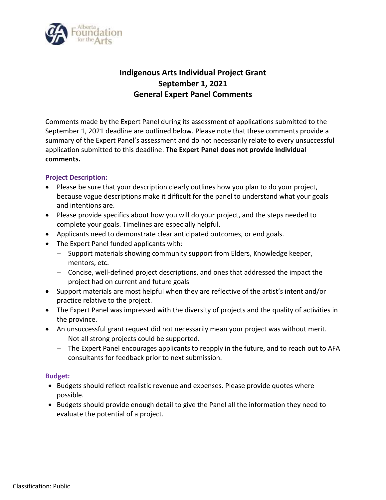

## **Indigenous Arts Individual Project Grant September 1, 2021 General Expert Panel Comments**

Comments made by the Expert Panel during its assessment of applications submitted to the September 1, 2021 deadline are outlined below. Please note that these comments provide a summary of the Expert Panel's assessment and do not necessarily relate to every unsuccessful application submitted to this deadline. **The Expert Panel does not provide individual comments.**

## **Project Description:**

- Please be sure that your description clearly outlines how you plan to do your project, because vague descriptions make it difficult for the panel to understand what your goals and intentions are.
- Please provide specifics about how you will do your project, and the steps needed to complete your goals. Timelines are especially helpful.
- Applicants need to demonstrate clear anticipated outcomes, or end goals.
- The Expert Panel funded applicants with:
	- Support materials showing community support from Elders, Knowledge keeper, mentors, etc.
	- Concise, well-defined project descriptions, and ones that addressed the impact the project had on current and future goals
- Support materials are most helpful when they are reflective of the artist's intent and/or practice relative to the project.
- The Expert Panel was impressed with the diversity of projects and the quality of activities in the province.
- An unsuccessful grant request did not necessarily mean your project was without merit.
	- Not all strong projects could be supported.
	- The Expert Panel encourages applicants to reapply in the future, and to reach out to AFA consultants for feedback prior to next submission.

## **Budget:**

- Budgets should reflect realistic revenue and expenses. Please provide quotes where possible.
- Budgets should provide enough detail to give the Panel all the information they need to evaluate the potential of a project.